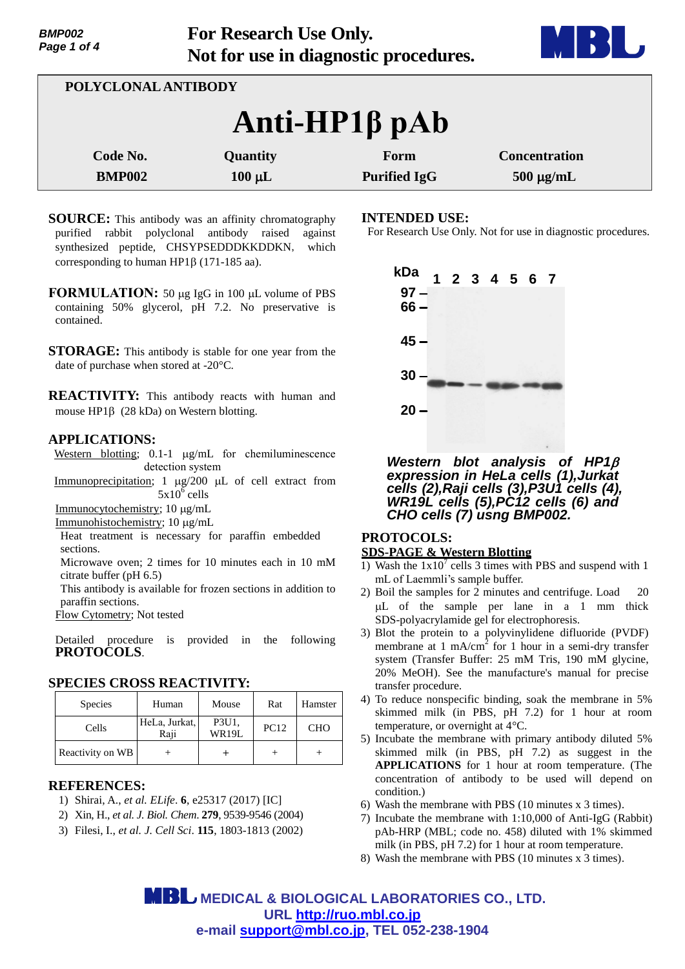**For Research Use Only. Not for use in diagnostic procedures.**



| POLYCLONAL ANTIBODY    |             |                     |                      |  |  |
|------------------------|-------------|---------------------|----------------------|--|--|
| $Anti-HP1\beta$ p $Ab$ |             |                     |                      |  |  |
| Code No.               | Quantity    | Form                | <b>Concentration</b> |  |  |
| <b>BMP002</b>          | $100 \mu L$ | <b>Purified IgG</b> | $500 \mu g/mL$       |  |  |

**SOURCE:** This antibody was an affinity chromatography purified rabbit polyclonal antibody raised against synthesized peptide, CHSYPSEDDDKKDDKN, which corresponding to human HP1 $\beta$  (171-185 aa).

- **FORMULATION:** 50  $\mu$ g IgG in 100  $\mu$ L volume of PBS containing 50% glycerol, pH 7.2. No preservative is contained.
- **STORAGE:** This antibody is stable for one year from the date of purchase when stored at -20°C.

**REACTIVITY:** This antibody reacts with human and mouse  $HP1\beta$  (28 kDa) on Western blotting.

### **APPLICATIONS:**

Western blotting;  $0.1-1$   $\mu$ g/mL for chemiluminescence detection system

Immunoprecipitation;  $1 \mu g/200 \mu L$  of cell extract from  $5x10^{\overline{6}}$  cells

Immunocytochemistry; 10 µg/mL

Immunohistochemistry; 10 µg/mL

Heat treatment is necessary for paraffin embedded sections.

Microwave oven; 2 times for 10 minutes each in 10 mM citrate buffer (pH 6.5)

This antibody is available for frozen sections in addition to paraffin sections.

Flow Cytometry; Not tested

Detailed procedure is provided in the following **PROTOCOLS**.

# **SPECIES CROSS REACTIVITY:**

| <b>Species</b>   | Human                 | Mouse          | Rat         | Hamster    |
|------------------|-----------------------|----------------|-------------|------------|
| Cells            | HeLa, Jurkat,<br>Raji | P3U1,<br>WR19L | <b>PC12</b> | <b>CHO</b> |
| Reactivity on WB |                       |                |             |            |

# **REFERENCES:**

- 1) Shirai, A., *et al. ELife*. **6**, e25317 (2017) [IC]
- 2) Xin, H., *et al. J. Biol. Chem*. **279**, 9539-9546 (2004)
- 3) Filesi, I., *et al. J. Cell Sci*. **115**, 1803-1813 (2002)

### **INTENDED USE:**

For Research Use Only. Not for use in diagnostic procedures.



*Western blot analysis of HP1 expression in HeLa cells (1),Jurkat cells (2),Raji cells (3),P3U1 cells (4), WR19L cells (5),PC12 cells (6) and CHO cells (7) usng BMP002.*

# **PROTOCOLS: SDS-PAGE & Western Blotting**

- 1) Wash the  $1x10^7$  cells 3 times with PBS and suspend with 1 mL of Laemmli's sample buffer.
- 2) Boil the samples for 2 minutes and centrifuge. Load 20 L of the sample per lane in a 1 mm thick SDS-polyacrylamide gel for electrophoresis.
- 3) Blot the protein to a polyvinylidene difluoride (PVDF) membrane at  $1 \text{ mA/cm}^2$  for 1 hour in a semi-dry transfer system (Transfer Buffer: 25 mM Tris, 190 mM glycine, 20% MeOH). See the manufacture's manual for precise transfer procedure.
- 4) To reduce nonspecific binding, soak the membrane in 5% skimmed milk (in PBS, pH 7.2) for 1 hour at room temperature, or overnight at 4°C.
- 5) Incubate the membrane with primary antibody diluted 5% skimmed milk (in PBS, pH 7.2) as suggest in the **APPLICATIONS** for 1 hour at room temperature. (The concentration of antibody to be used will depend on condition.)
- 6) Wash the membrane with PBS (10 minutes x 3 times).
- 7) Incubate the membrane with 1:10,000 of Anti-IgG (Rabbit) pAb-HRP (MBL; code no. 458) diluted with 1% skimmed milk (in PBS, pH 7.2) for 1 hour at room temperature.
- 8) Wash the membrane with PBS (10 minutes x 3 times).

 **MEDICAL & BIOLOGICAL LABORATORIES CO., LTD. URL [http://ruo.mbl.co.jp](http://ruo.mbl.co.jp/) e-mail [support@mbl.co.jp,](support@mbl.co.jp) TEL 052-238-1904**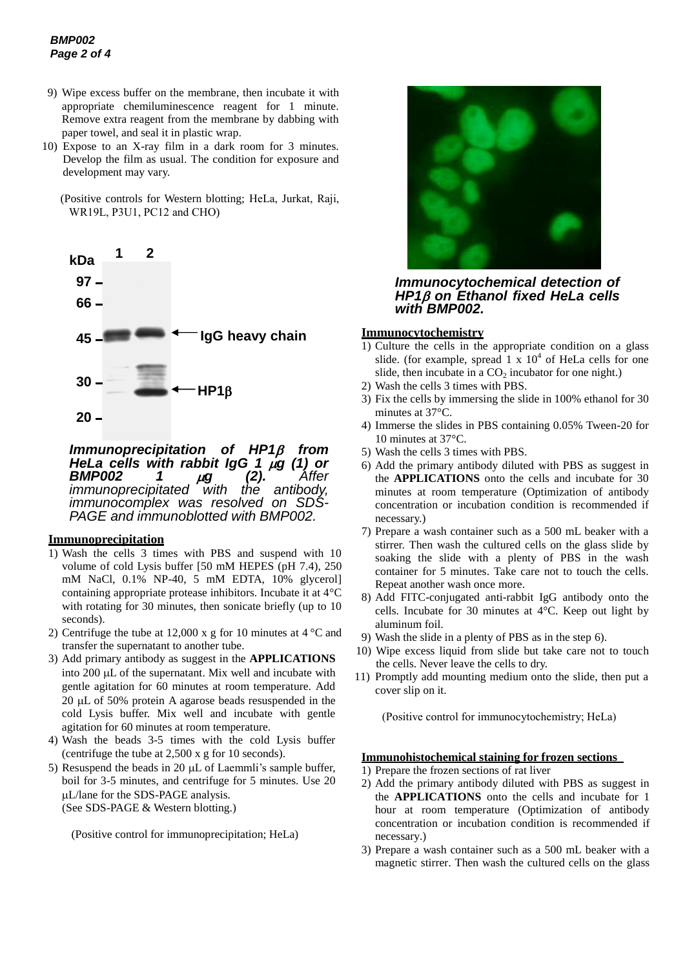- 9) Wipe excess buffer on the membrane, then incubate it with appropriate chemiluminescence reagent for 1 minute. Remove extra reagent from the membrane by dabbing with paper towel, and seal it in plastic wrap.
- 10) Expose to an X-ray film in a dark room for 3 minutes. Develop the film as usual. The condition for exposure and development may vary.
	- (Positive controls for Western blotting; HeLa, Jurkat, Raji, WR19L, P3U1, PC12 and CHO)



*Immunoprecipitation of HP1 from HeLa cells with rabbit IgG 1 g (1) or BMP002 1 g (2). Affer immunoprecipitated with the antibody, immunocomplex was resolved on SDS-PAGE and immunoblotted with BMP002.*

#### **Immunoprecipitation**

- 1) Wash the cells 3 times with PBS and suspend with 10 volume of cold Lysis buffer [50 mM HEPES (pH 7.4), 250 mM NaCl, 0.1% NP-40, 5 mM EDTA, 10% glycerol] containing appropriate protease inhibitors. Incubate it at 4°C with rotating for 30 minutes, then sonicate briefly (up to 10 seconds).
- 2) Centrifuge the tube at 12,000 x g for 10 minutes at 4 °C and transfer the supernatant to another tube.
- 3) Add primary antibody as suggest in the **APPLICATIONS** into 200 µL of the supernatant. Mix well and incubate with gentle agitation for 60 minutes at room temperature. Add 20 uL of 50% protein A agarose beads resuspended in the cold Lysis buffer. Mix well and incubate with gentle agitation for 60 minutes at room temperature.
- 4) Wash the beads 3-5 times with the cold Lysis buffer (centrifuge the tube at 2,500 x g for 10 seconds).
- 5) Resuspend the beads in 20  $\mu$ L of Laemmli's sample buffer, boil for 3-5 minutes, and centrifuge for 5 minutes. Use 20 L/lane for the SDS-PAGE analysis. (See SDS-PAGE & Western blotting.)

(Positive control for immunoprecipitation; HeLa)



*Immunocytochemical detection of HP1 on Ethanol fixed HeLa cells with BMP002.*

### **Immunocytochemistry**

- 1) Culture the cells in the appropriate condition on a glass slide. (for example, spread  $1 \times 10^4$  of HeLa cells for one slide, then incubate in a  $CO<sub>2</sub>$  incubator for one night.)
- 2) Wash the cells 3 times with PBS.
- 3) Fix the cells by immersing the slide in 100% ethanol for 30 minutes at 37°C.
- 4) Immerse the slides in PBS containing 0.05% Tween-20 for 10 minutes at 37°C.
- 5) Wash the cells 3 times with PBS.
- 6) Add the primary antibody diluted with PBS as suggest in the **APPLICATIONS** onto the cells and incubate for 30 minutes at room temperature (Optimization of antibody concentration or incubation condition is recommended if necessary.)
- 7) Prepare a wash container such as a 500 mL beaker with a stirrer. Then wash the cultured cells on the glass slide by soaking the slide with a plenty of PBS in the wash container for 5 minutes. Take care not to touch the cells. Repeat another wash once more.
- 8) Add FITC-conjugated anti-rabbit IgG antibody onto the cells. Incubate for 30 minutes at 4°C. Keep out light by aluminum foil.
- 9) Wash the slide in a plenty of PBS as in the step 6).
- 10) Wipe excess liquid from slide but take care not to touch the cells. Never leave the cells to dry.
- 11) Promptly add mounting medium onto the slide, then put a cover slip on it.

(Positive control for immunocytochemistry; HeLa)

#### **Immunohistochemical staining for frozen sections**

- 1) Prepare the frozen sections of rat liver
- 2) Add the primary antibody diluted with PBS as suggest in the **APPLICATIONS** onto the cells and incubate for 1 hour at room temperature (Optimization of antibody concentration or incubation condition is recommended if necessary.)
- 3) Prepare a wash container such as a 500 mL beaker with a magnetic stirrer. Then wash the cultured cells on the glass